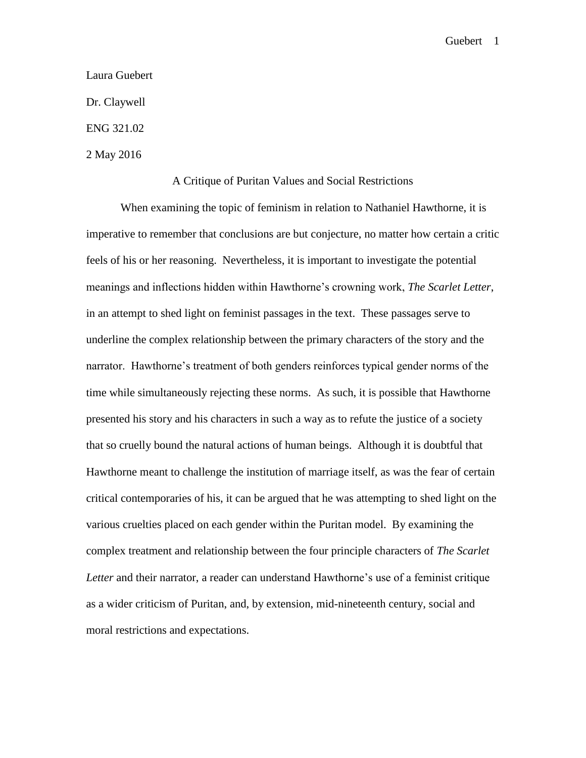## Laura Guebert

Dr. Claywell

ENG 321.02

2 May 2016

## A Critique of Puritan Values and Social Restrictions

When examining the topic of feminism in relation to Nathaniel Hawthorne, it is imperative to remember that conclusions are but conjecture, no matter how certain a critic feels of his or her reasoning. Nevertheless, it is important to investigate the potential meanings and inflections hidden within Hawthorne's crowning work, *The Scarlet Letter*, in an attempt to shed light on feminist passages in the text. These passages serve to underline the complex relationship between the primary characters of the story and the narrator. Hawthorne's treatment of both genders reinforces typical gender norms of the time while simultaneously rejecting these norms. As such, it is possible that Hawthorne presented his story and his characters in such a way as to refute the justice of a society that so cruelly bound the natural actions of human beings. Although it is doubtful that Hawthorne meant to challenge the institution of marriage itself, as was the fear of certain critical contemporaries of his, it can be argued that he was attempting to shed light on the various cruelties placed on each gender within the Puritan model. By examining the complex treatment and relationship between the four principle characters of *The Scarlet Letter* and their narrator, a reader can understand Hawthorne's use of a feminist critique as a wider criticism of Puritan, and, by extension, mid-nineteenth century, social and moral restrictions and expectations.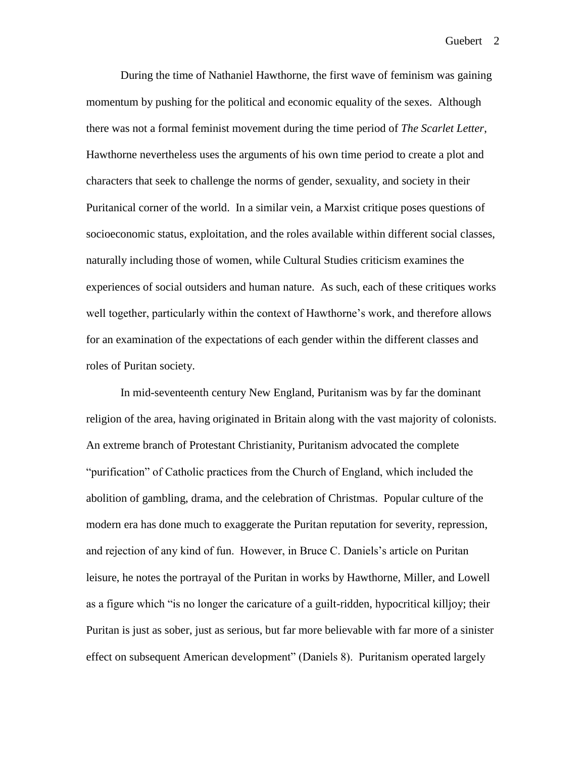During the time of Nathaniel Hawthorne, the first wave of feminism was gaining momentum by pushing for the political and economic equality of the sexes. Although there was not a formal feminist movement during the time period of *The Scarlet Letter*, Hawthorne nevertheless uses the arguments of his own time period to create a plot and characters that seek to challenge the norms of gender, sexuality, and society in their Puritanical corner of the world. In a similar vein, a Marxist critique poses questions of socioeconomic status, exploitation, and the roles available within different social classes, naturally including those of women, while Cultural Studies criticism examines the experiences of social outsiders and human nature. As such, each of these critiques works well together, particularly within the context of Hawthorne's work, and therefore allows for an examination of the expectations of each gender within the different classes and roles of Puritan society.

In mid-seventeenth century New England, Puritanism was by far the dominant religion of the area, having originated in Britain along with the vast majority of colonists. An extreme branch of Protestant Christianity, Puritanism advocated the complete "purification" of Catholic practices from the Church of England, which included the abolition of gambling, drama, and the celebration of Christmas. Popular culture of the modern era has done much to exaggerate the Puritan reputation for severity, repression, and rejection of any kind of fun. However, in Bruce C. Daniels's article on Puritan leisure, he notes the portrayal of the Puritan in works by Hawthorne, Miller, and Lowell as a figure which "is no longer the caricature of a guilt-ridden, hypocritical killjoy; their Puritan is just as sober, just as serious, but far more believable with far more of a sinister effect on subsequent American development" (Daniels 8). Puritanism operated largely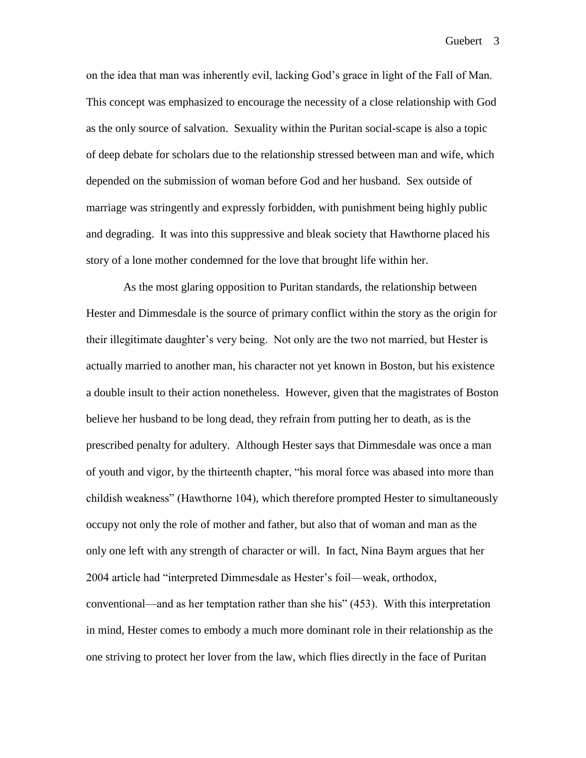on the idea that man was inherently evil, lacking God's grace in light of the Fall of Man. This concept was emphasized to encourage the necessity of a close relationship with God as the only source of salvation. Sexuality within the Puritan social-scape is also a topic of deep debate for scholars due to the relationship stressed between man and wife, which depended on the submission of woman before God and her husband. Sex outside of marriage was stringently and expressly forbidden, with punishment being highly public and degrading. It was into this suppressive and bleak society that Hawthorne placed his story of a lone mother condemned for the love that brought life within her.

As the most glaring opposition to Puritan standards, the relationship between Hester and Dimmesdale is the source of primary conflict within the story as the origin for their illegitimate daughter's very being. Not only are the two not married, but Hester is actually married to another man, his character not yet known in Boston, but his existence a double insult to their action nonetheless. However, given that the magistrates of Boston believe her husband to be long dead, they refrain from putting her to death, as is the prescribed penalty for adultery. Although Hester says that Dimmesdale was once a man of youth and vigor, by the thirteenth chapter, "his moral force was abased into more than childish weakness" (Hawthorne 104), which therefore prompted Hester to simultaneously occupy not only the role of mother and father, but also that of woman and man as the only one left with any strength of character or will. In fact, Nina Baym argues that her 2004 article had "interpreted Dimmesdale as Hester's foil—weak, orthodox, conventional—and as her temptation rather than she his" (453). With this interpretation in mind, Hester comes to embody a much more dominant role in their relationship as the one striving to protect her lover from the law, which flies directly in the face of Puritan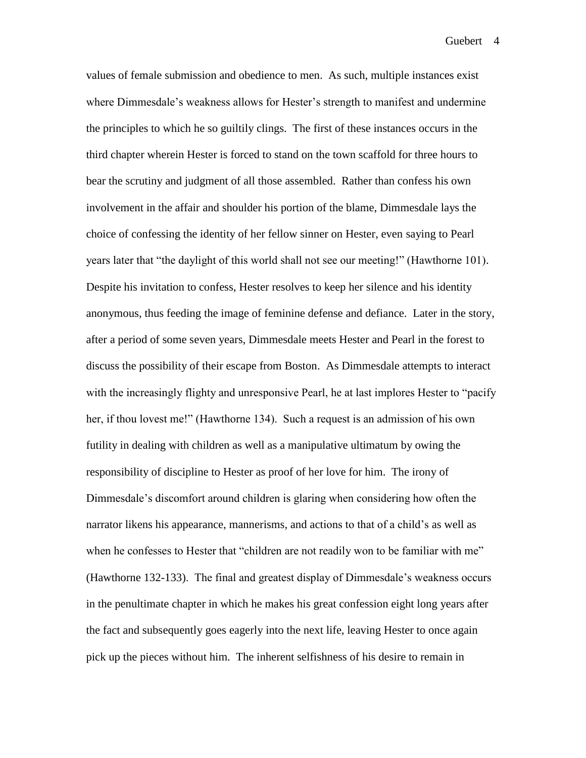values of female submission and obedience to men. As such, multiple instances exist where Dimmesdale's weakness allows for Hester's strength to manifest and undermine the principles to which he so guiltily clings. The first of these instances occurs in the third chapter wherein Hester is forced to stand on the town scaffold for three hours to bear the scrutiny and judgment of all those assembled. Rather than confess his own involvement in the affair and shoulder his portion of the blame, Dimmesdale lays the choice of confessing the identity of her fellow sinner on Hester, even saying to Pearl years later that "the daylight of this world shall not see our meeting!" (Hawthorne 101). Despite his invitation to confess, Hester resolves to keep her silence and his identity anonymous, thus feeding the image of feminine defense and defiance. Later in the story, after a period of some seven years, Dimmesdale meets Hester and Pearl in the forest to discuss the possibility of their escape from Boston. As Dimmesdale attempts to interact with the increasingly flighty and unresponsive Pearl, he at last implores Hester to "pacify" her, if thou lovest me!" (Hawthorne 134). Such a request is an admission of his own futility in dealing with children as well as a manipulative ultimatum by owing the responsibility of discipline to Hester as proof of her love for him. The irony of Dimmesdale's discomfort around children is glaring when considering how often the narrator likens his appearance, mannerisms, and actions to that of a child's as well as when he confesses to Hester that "children are not readily won to be familiar with me" (Hawthorne 132-133). The final and greatest display of Dimmesdale's weakness occurs in the penultimate chapter in which he makes his great confession eight long years after the fact and subsequently goes eagerly into the next life, leaving Hester to once again pick up the pieces without him. The inherent selfishness of his desire to remain in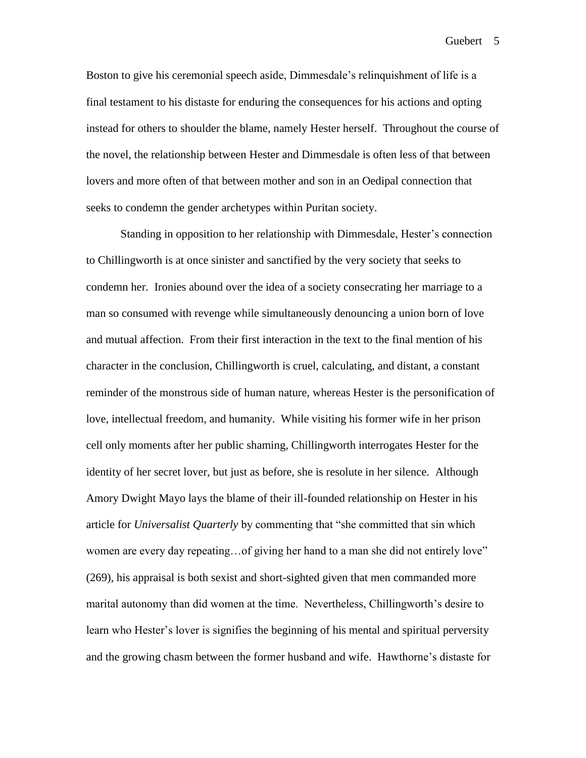Boston to give his ceremonial speech aside, Dimmesdale's relinquishment of life is a final testament to his distaste for enduring the consequences for his actions and opting instead for others to shoulder the blame, namely Hester herself. Throughout the course of the novel, the relationship between Hester and Dimmesdale is often less of that between lovers and more often of that between mother and son in an Oedipal connection that seeks to condemn the gender archetypes within Puritan society.

Standing in opposition to her relationship with Dimmesdale, Hester's connection to Chillingworth is at once sinister and sanctified by the very society that seeks to condemn her. Ironies abound over the idea of a society consecrating her marriage to a man so consumed with revenge while simultaneously denouncing a union born of love and mutual affection. From their first interaction in the text to the final mention of his character in the conclusion, Chillingworth is cruel, calculating, and distant, a constant reminder of the monstrous side of human nature, whereas Hester is the personification of love, intellectual freedom, and humanity. While visiting his former wife in her prison cell only moments after her public shaming, Chillingworth interrogates Hester for the identity of her secret lover, but just as before, she is resolute in her silence. Although Amory Dwight Mayo lays the blame of their ill-founded relationship on Hester in his article for *Universalist Quarterly* by commenting that "she committed that sin which women are every day repeating…of giving her hand to a man she did not entirely love" (269), his appraisal is both sexist and short-sighted given that men commanded more marital autonomy than did women at the time. Nevertheless, Chillingworth's desire to learn who Hester's lover is signifies the beginning of his mental and spiritual perversity and the growing chasm between the former husband and wife. Hawthorne's distaste for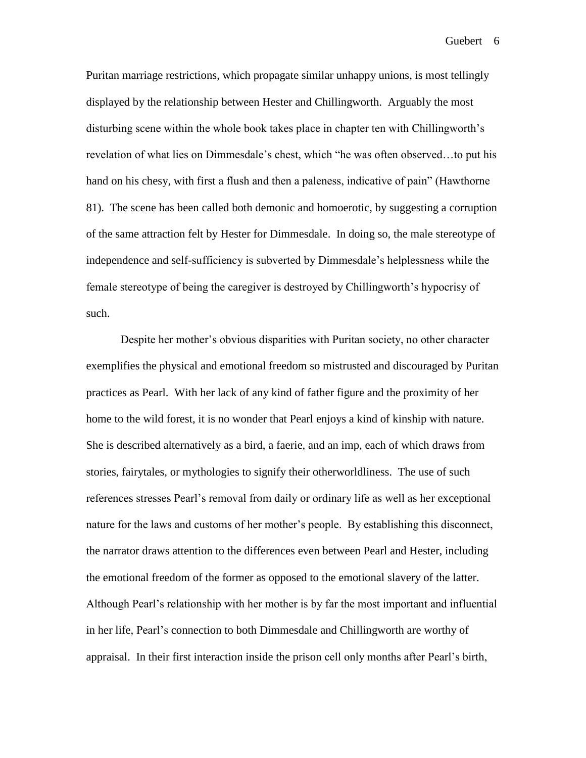Puritan marriage restrictions, which propagate similar unhappy unions, is most tellingly displayed by the relationship between Hester and Chillingworth. Arguably the most disturbing scene within the whole book takes place in chapter ten with Chillingworth's revelation of what lies on Dimmesdale's chest, which "he was often observed…to put his hand on his chesy, with first a flush and then a paleness, indicative of pain" (Hawthorne 81). The scene has been called both demonic and homoerotic, by suggesting a corruption of the same attraction felt by Hester for Dimmesdale. In doing so, the male stereotype of independence and self-sufficiency is subverted by Dimmesdale's helplessness while the female stereotype of being the caregiver is destroyed by Chillingworth's hypocrisy of such.

Despite her mother's obvious disparities with Puritan society, no other character exemplifies the physical and emotional freedom so mistrusted and discouraged by Puritan practices as Pearl. With her lack of any kind of father figure and the proximity of her home to the wild forest, it is no wonder that Pearl enjoys a kind of kinship with nature. She is described alternatively as a bird, a faerie, and an imp, each of which draws from stories, fairytales, or mythologies to signify their otherworldliness. The use of such references stresses Pearl's removal from daily or ordinary life as well as her exceptional nature for the laws and customs of her mother's people. By establishing this disconnect, the narrator draws attention to the differences even between Pearl and Hester, including the emotional freedom of the former as opposed to the emotional slavery of the latter. Although Pearl's relationship with her mother is by far the most important and influential in her life, Pearl's connection to both Dimmesdale and Chillingworth are worthy of appraisal. In their first interaction inside the prison cell only months after Pearl's birth,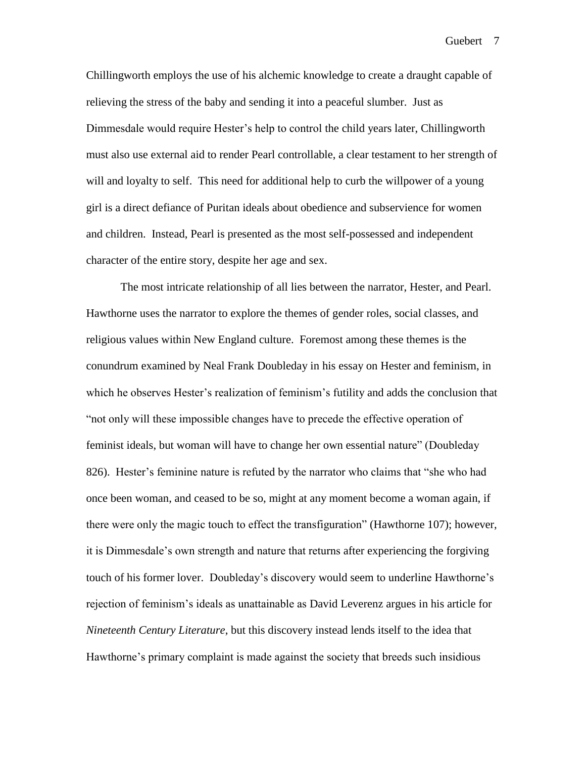Chillingworth employs the use of his alchemic knowledge to create a draught capable of relieving the stress of the baby and sending it into a peaceful slumber. Just as Dimmesdale would require Hester's help to control the child years later, Chillingworth must also use external aid to render Pearl controllable, a clear testament to her strength of will and loyalty to self. This need for additional help to curb the will power of a young girl is a direct defiance of Puritan ideals about obedience and subservience for women and children. Instead, Pearl is presented as the most self-possessed and independent character of the entire story, despite her age and sex.

The most intricate relationship of all lies between the narrator, Hester, and Pearl. Hawthorne uses the narrator to explore the themes of gender roles, social classes, and religious values within New England culture. Foremost among these themes is the conundrum examined by Neal Frank Doubleday in his essay on Hester and feminism, in which he observes Hester's realization of feminism's futility and adds the conclusion that "not only will these impossible changes have to precede the effective operation of feminist ideals, but woman will have to change her own essential nature" (Doubleday 826). Hester's feminine nature is refuted by the narrator who claims that "she who had once been woman, and ceased to be so, might at any moment become a woman again, if there were only the magic touch to effect the transfiguration" (Hawthorne 107); however, it is Dimmesdale's own strength and nature that returns after experiencing the forgiving touch of his former lover. Doubleday's discovery would seem to underline Hawthorne's rejection of feminism's ideals as unattainable as David Leverenz argues in his article for *Nineteenth Century Literature*, but this discovery instead lends itself to the idea that Hawthorne's primary complaint is made against the society that breeds such insidious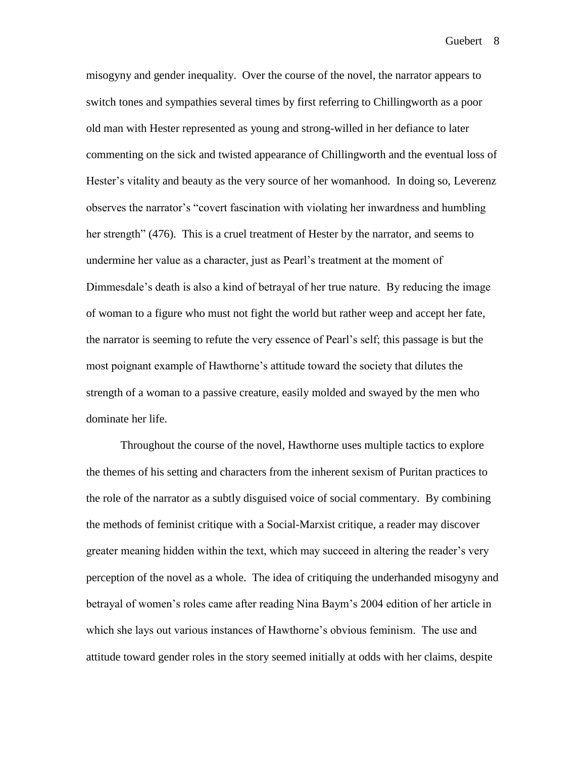misogyny and gender inequality. Over the course of the novel, the narrator appears to switch tones and sympathies several times by first referring to Chillingworth as a poor old man with Hester represented as young and strong-willed in her defiance to later commenting on the sick and twisted appearance of Chillingworth and the eventual loss of Hester's vitality and beauty as the very source of her womanhood. In doing so, Leverenz observes the narrator's "covert fascination with violating her inwardness and humbling her strength" (476). This is a cruel treatment of Hester by the narrator, and seems to undermine her value as a character, just as Pearl's treatment at the moment of Dimmesdale's death is also a kind of betrayal of her true nature. By reducing the image of woman to a figure who must not fight the world but rather weep and accept her fate, the narrator is seeming to refute the very essence of Pearl's self; this passage is but the most poignant example of Hawthorne's attitude toward the society that dilutes the strength of a woman to a passive creature, easily molded and swayed by the men who dominate her life.

Throughout the course of the novel, Hawthorne uses multiple tactics to explore the themes of his setting and characters from the inherent sexism of Puritan practices to the role of the narrator as a subtly disguised voice of social commentary. By combining the methods of feminist critique with a Social-Marxist critique, a reader may discover greater meaning hidden within the text, which may succeed in altering the reader's very perception of the novel as a whole. The idea of critiquing the underhanded misogyny and betrayal of women's roles came after reading Nina Baym's 2004 edition of her article in which she lays out various instances of Hawthorne's obvious feminism. The use and attitude toward gender roles in the story seemed initially at odds with her claims, despite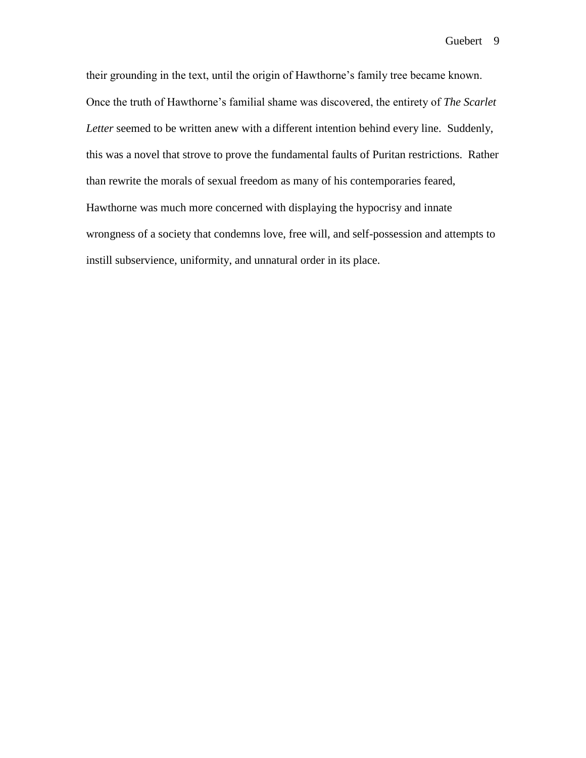their grounding in the text, until the origin of Hawthorne's family tree became known. Once the truth of Hawthorne's familial shame was discovered, the entirety of *The Scarlet Letter* seemed to be written anew with a different intention behind every line. Suddenly, this was a novel that strove to prove the fundamental faults of Puritan restrictions. Rather than rewrite the morals of sexual freedom as many of his contemporaries feared, Hawthorne was much more concerned with displaying the hypocrisy and innate wrongness of a society that condemns love, free will, and self-possession and attempts to instill subservience, uniformity, and unnatural order in its place.